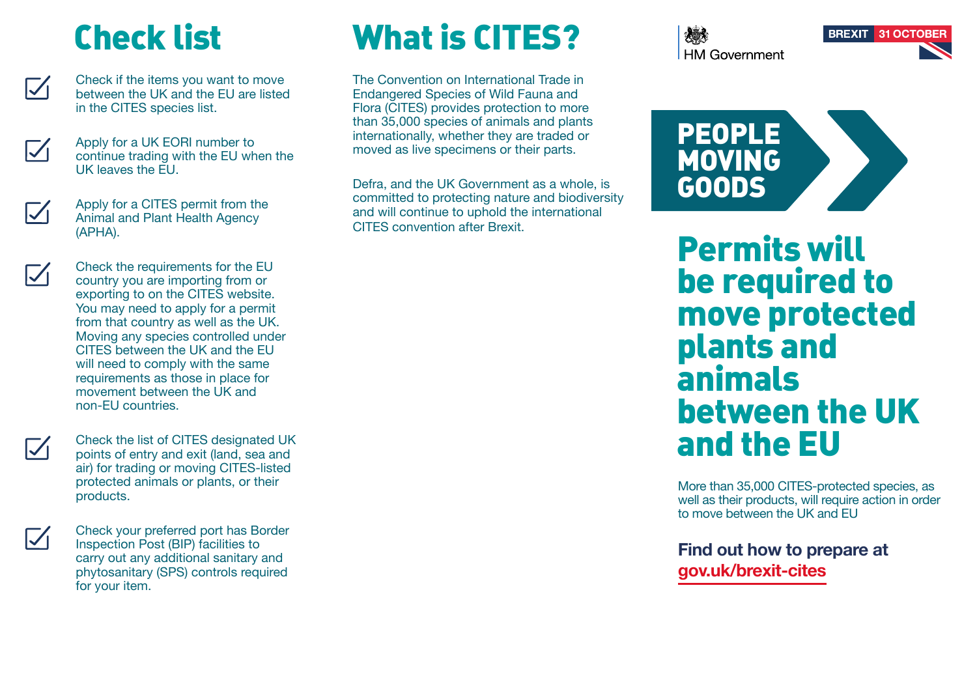## Check list



Check if the items you want to move between the UK and the EU are listed in the CITES species list.



Apply for a UK EORI number to continue trading with the EU when the UK leaves the EU.



Apply for a CITES permit from the Animal and Plant Health Agency (APHA).

Check the requirements for the EU country you are importing from or exporting to on the CITES website. You may need to apply for a permit from that country as well as the UK. Moving any species controlled under CITES between the UK and the EU will need to comply with the same requirements as those in place for movement between the UK and non-EU countries.

Check the list of CITES designated UK points of entry and exit (land, sea and air) for trading or moving CITES-listed protected animals or plants, or their products.



 $\nabla$ 

Check your preferred port has Border Inspection Post (BIP) facilities to carry out any additional sanitary and phytosanitary (SPS) controls required for your item.

# What is CITES?

The Convention on International Trade in Endangered Species of Wild Fauna and Flora (CITES) provides protection to more than 35,000 species of animals and plants internationally, whether they are traded or moved as live specimens or their parts.

Defra, and the UK Government as a whole, is committed to protecting nature and biodiversity and will continue to uphold the international CITES convention after Brexit.

**HM Government** 





Permits will be required to move protected plants and animals between the UK and the EU

More than 35,000 CITES-protected species, as well as their products, will require action in order to move between the UK and EU

**Find out how to prepare at gov.uk/brexit-cites**